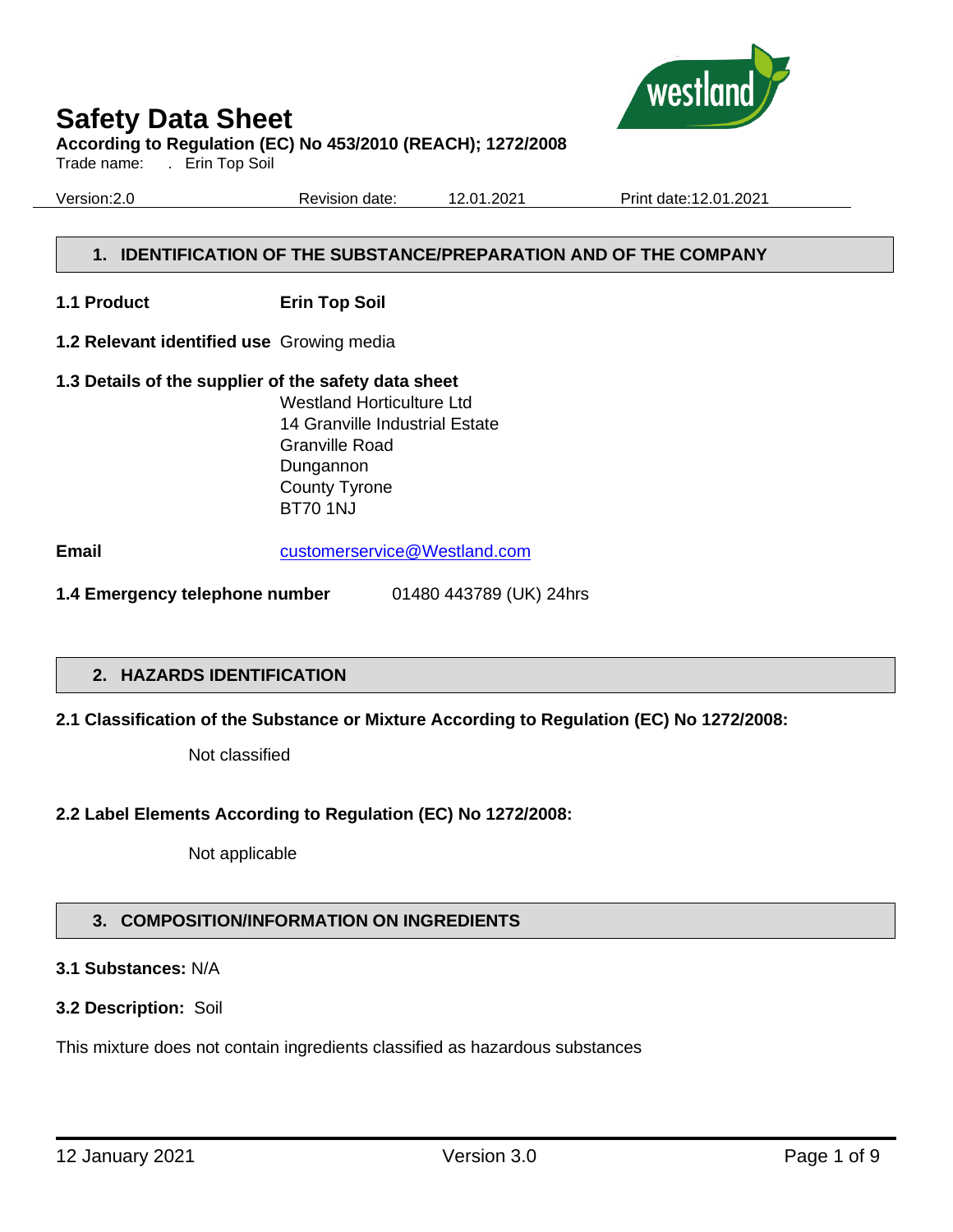

Trade name: . Erin Top Soil

Version:2.0 Revision date: 12.01.2021 Print date:12.01.2021

# **1. IDENTIFICATION OF THE SUBSTANCE/PREPARATION AND OF THE COMPANY**

- **1.1 Product Erin Top Soil**
- **1.2 Relevant identified use** Growing media
- **1.3 Details of the supplier of the safety data sheet** Westland Horticulture Ltd 14 Granville Industrial Estate Granville Road Dungannon County Tyrone BT70 1NJ

**Email** [customerservice@Westland.com](mailto:customerservice@Westland.com)

**1.4 Emergency telephone number** 01480 443789 (UK) 24hrs

# **2. HAZARDS IDENTIFICATION**

# **2.1 Classification of the Substance or Mixture According to Regulation (EC) No 1272/2008:**

Not classified

# **2.2 Label Elements According to Regulation (EC) No 1272/2008:**

Not applicable

# **3. COMPOSITION/INFORMATION ON INGREDIENTS**

# **3.1 Substances:** N/A

# **3.2 Description:** Soil

This mixture does not contain ingredients classified as hazardous substances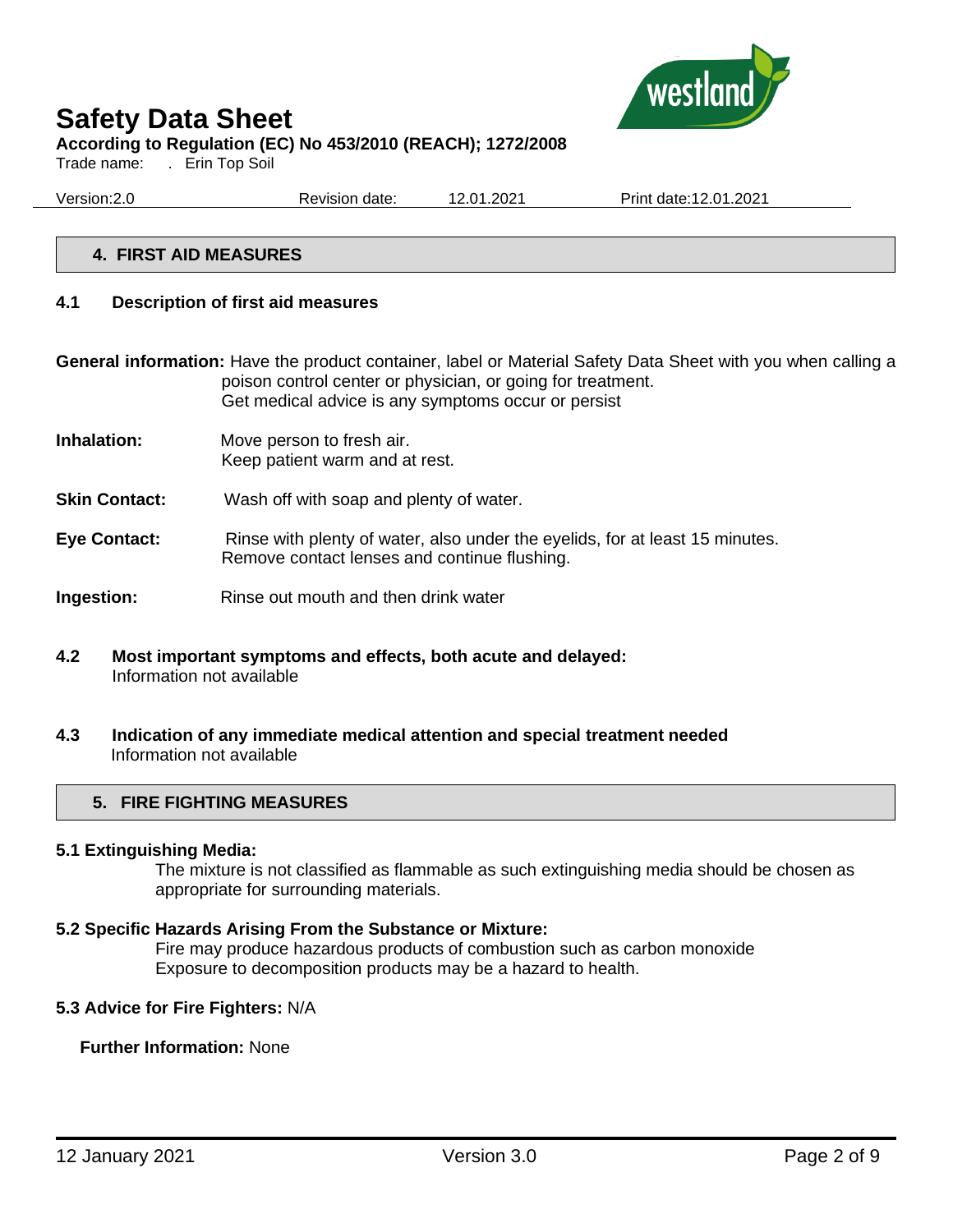

Trade name: . Erin Top Soil

Version:2.0 Revision date: 12.01.2021 Print date:12.01.2021

# **4. FIRST AID MEASURES**

#### **4.1 Description of first aid measures**

**General information:** Have the product container, label or Material Safety Data Sheet with you when calling a poison control center or physician, or going for treatment. Get medical advice is any symptoms occur or persist

- **Inhalation:** Move person to fresh air. Keep patient warm and at rest.
- **Skin Contact:** Wash off with soap and plenty of water.
- **Eye Contact:** Rinse with plenty of water, also under the eyelids, for at least 15 minutes. Remove contact lenses and continue flushing.
- **Ingestion:** Rinse out mouth and then drink water
- **4.2 Most important symptoms and effects, both acute and delayed:**  Information not available
- **4.3 Indication of any immediate medical attention and special treatment needed** Information not available

#### **5. FIRE FIGHTING MEASURES**

#### **5.1 Extinguishing Media:**

The mixture is not classified as flammable as such extinguishing media should be chosen as appropriate for surrounding materials.

#### **5.2 Specific Hazards Arising From the Substance or Mixture:**

Fire may produce hazardous products of combustion such as carbon monoxide Exposure to decomposition products may be a hazard to health.

#### **5.3 Advice for Fire Fighters:** N/A

#### **Further Information:** None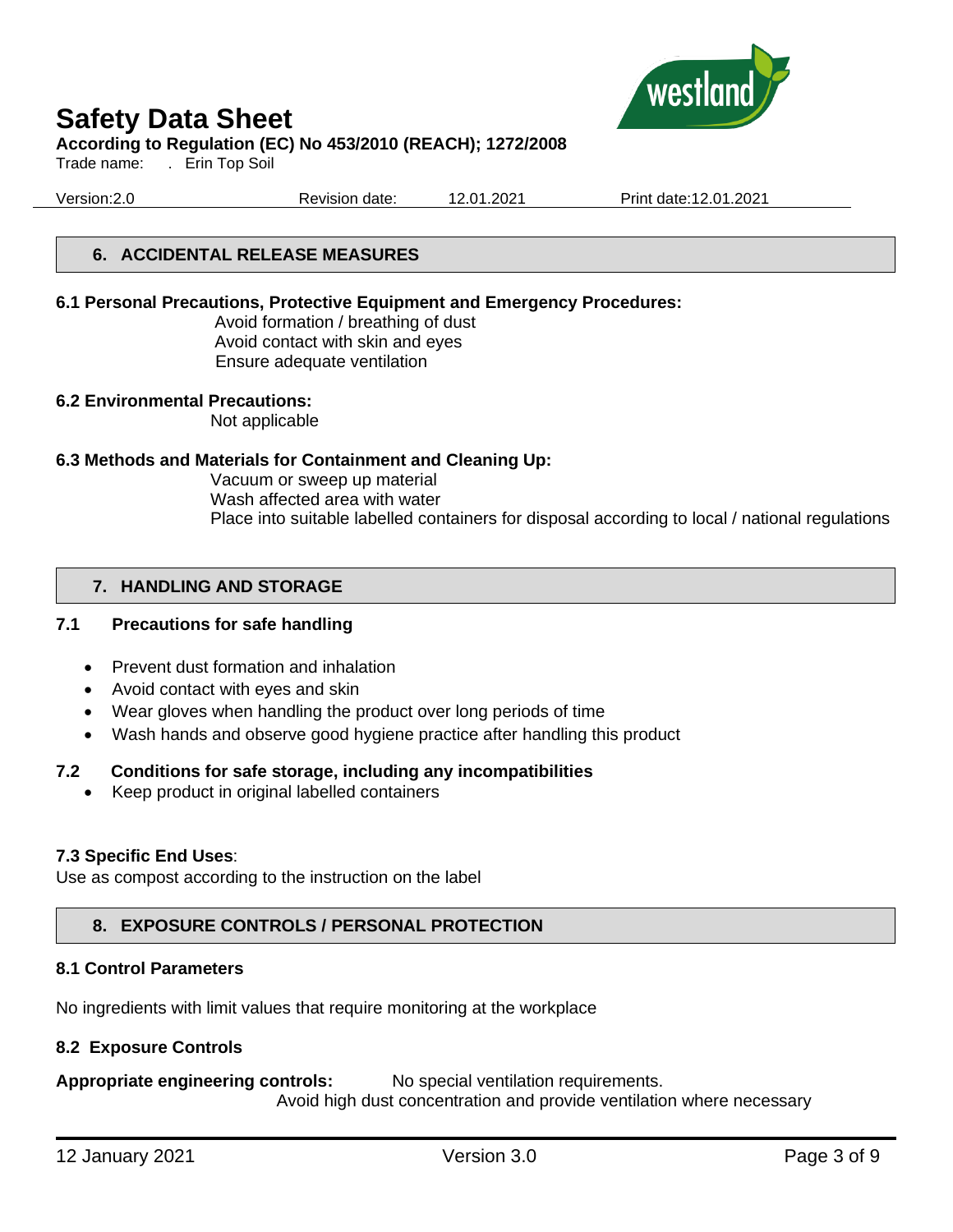

# **Safety Data Sheet**

# **According to Regulation (EC) No 453/2010 (REACH); 1272/2008**

Trade name: . Erin Top Soil

Version:2.0 Revision date: 12.01.2021 Print date:12.01.2021

# **6. ACCIDENTAL RELEASE MEASURES**

#### **6.1 Personal Precautions, Protective Equipment and Emergency Procedures:**

Avoid formation / breathing of dust Avoid contact with skin and eyes Ensure adequate ventilation

#### **6.2 Environmental Precautions:**

Not applicable

# **6.3 Methods and Materials for Containment and Cleaning Up:**

Vacuum or sweep up material Wash affected area with water Place into suitable labelled containers for disposal according to local / national regulations

# **7. HANDLING AND STORAGE**

# **7.1 Precautions for safe handling**

- Prevent dust formation and inhalation
- Avoid contact with eyes and skin
- Wear gloves when handling the product over long periods of time
- Wash hands and observe good hygiene practice after handling this product

# **7.2 Conditions for safe storage, including any incompatibilities**

• Keep product in original labelled containers

# **7.3 Specific End Uses**:

Use as compost according to the instruction on the label

# **8. EXPOSURE CONTROLS / PERSONAL PROTECTION**

# **8.1 Control Parameters**

No ingredients with limit values that require monitoring at the workplace

# **8.2 Exposure Controls**

**Appropriate engineering controls:** No special ventilation requirements. Avoid high dust concentration and provide ventilation where necessary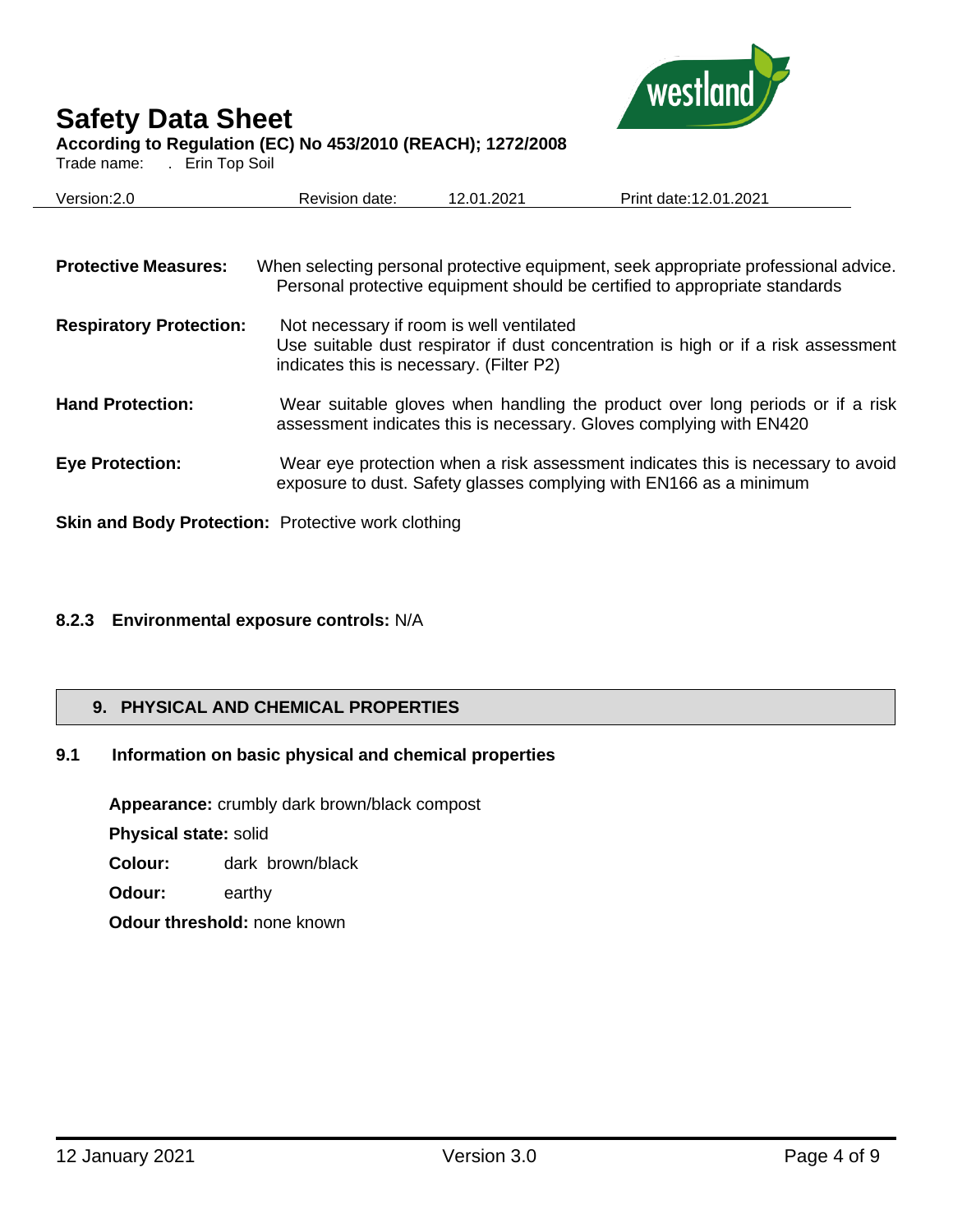

# **Safety Data Sheet**

# **According to Regulation (EC) No 453/2010 (REACH); 1272/2008**

Trade name: . Erin Top Soil

| Version: 2.0                                              | Revision date:                                                                       | 12.01.2021 | Print date: 12.01.2021                                                                                                                                            |
|-----------------------------------------------------------|--------------------------------------------------------------------------------------|------------|-------------------------------------------------------------------------------------------------------------------------------------------------------------------|
|                                                           |                                                                                      |            |                                                                                                                                                                   |
| <b>Protective Measures:</b>                               |                                                                                      |            | When selecting personal protective equipment, seek appropriate professional advice.<br>Personal protective equipment should be certified to appropriate standards |
| <b>Respiratory Protection:</b>                            | Not necessary if room is well ventilated<br>indicates this is necessary. (Filter P2) |            | Use suitable dust respirator if dust concentration is high or if a risk assessment                                                                                |
| <b>Hand Protection:</b>                                   |                                                                                      |            | Wear suitable gloves when handling the product over long periods or if a risk<br>assessment indicates this is necessary. Gloves complying with EN420              |
| <b>Eye Protection:</b>                                    |                                                                                      |            | Wear eye protection when a risk assessment indicates this is necessary to avoid<br>exposure to dust. Safety glasses complying with EN166 as a minimum             |
| <b>Skin and Body Protection: Protective work clothing</b> |                                                                                      |            |                                                                                                                                                                   |

# **8.2.3 Environmental exposure controls:** N/A

# **9. PHYSICAL AND CHEMICAL PROPERTIES**

# **9.1 Information on basic physical and chemical properties**

**Appearance:** crumbly dark brown/black compost

**Physical state:** solid

- **Colour:** dark brown/black
- **Odour:** earthy

**Odour threshold:** none known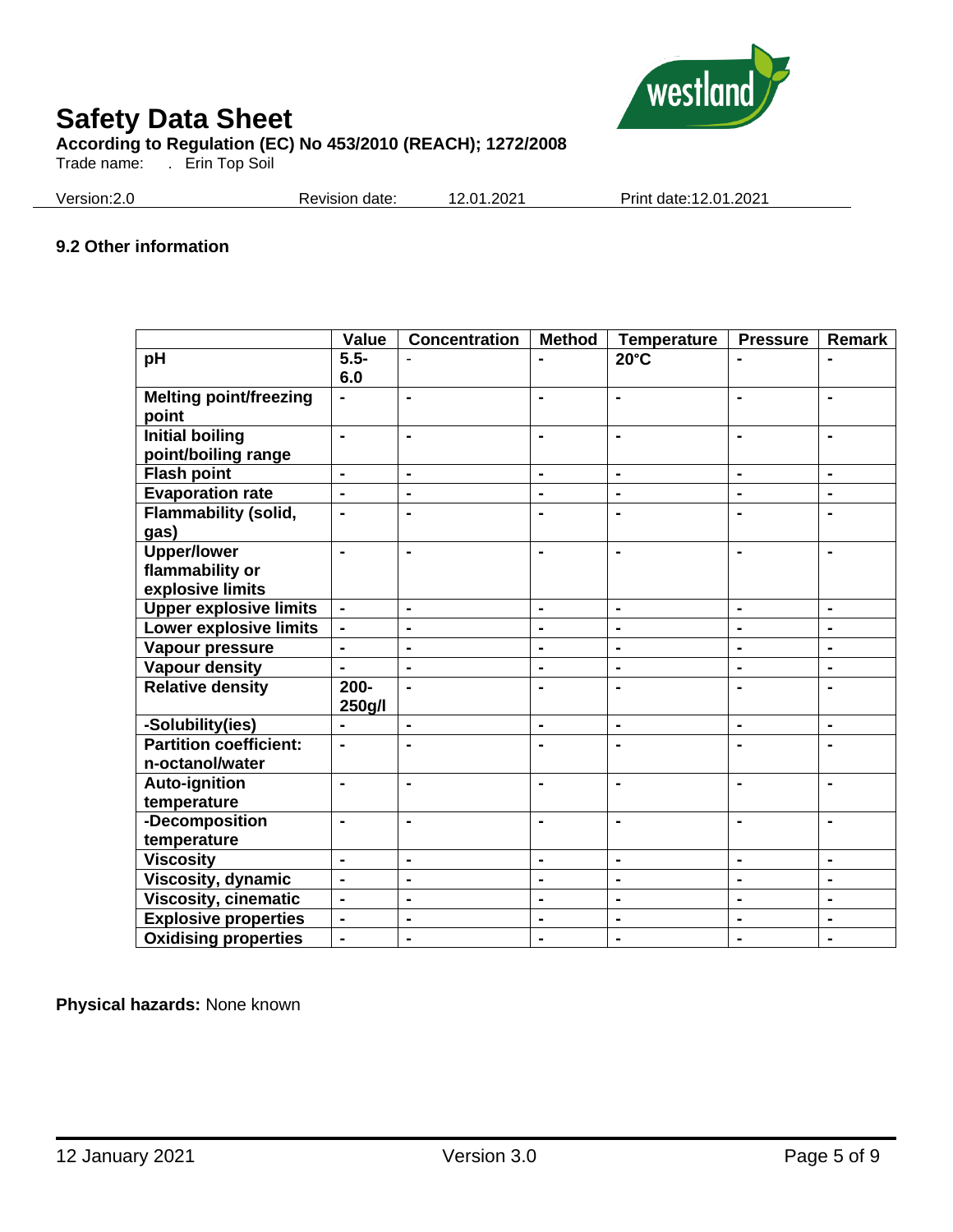

Trade name: . Erin Top Soil

Version:2.0 Revision date: 12.01.2021 Print date:12.01.2021

# **9.2 Other information**

|                               | Value          | <b>Concentration</b> | <b>Method</b>  | <b>Temperature</b> | <b>Pressure</b> | <b>Remark</b>  |
|-------------------------------|----------------|----------------------|----------------|--------------------|-----------------|----------------|
| pH                            | $5.5 -$        |                      |                | $20^{\circ}$ C     |                 |                |
|                               | 6.0            |                      |                |                    |                 |                |
| <b>Melting point/freezing</b> | $\blacksquare$ | $\blacksquare$       | $\blacksquare$ | $\blacksquare$     | $\blacksquare$  | $\blacksquare$ |
| point                         |                |                      |                |                    |                 |                |
| <b>Initial boiling</b>        | $\blacksquare$ | $\blacksquare$       |                | $\blacksquare$     | $\blacksquare$  |                |
| point/boiling range           |                |                      |                |                    |                 |                |
| <b>Flash point</b>            | $\blacksquare$ | $\blacksquare$       | ä,             | ä,                 | ä,              | $\blacksquare$ |
| <b>Evaporation rate</b>       | $\blacksquare$ | $\blacksquare$       | ä,             | ä,                 | $\blacksquare$  | $\blacksquare$ |
| <b>Flammability (solid,</b>   | $\blacksquare$ | $\blacksquare$       | $\blacksquare$ | $\blacksquare$     | $\blacksquare$  | ۰              |
| gas)                          |                |                      |                |                    |                 |                |
| <b>Upper/lower</b>            | $\blacksquare$ | $\blacksquare$       | $\blacksquare$ | $\blacksquare$     | $\blacksquare$  | $\blacksquare$ |
| flammability or               |                |                      |                |                    |                 |                |
| explosive limits              |                |                      |                |                    |                 |                |
| <b>Upper explosive limits</b> | $\blacksquare$ | $\blacksquare$       | $\blacksquare$ | $\blacksquare$     | $\blacksquare$  | $\blacksquare$ |
| Lower explosive limits        | $\blacksquare$ | $\blacksquare$       | $\blacksquare$ | ä,                 | ä,              | $\blacksquare$ |
| Vapour pressure               | $\blacksquare$ | $\blacksquare$       | $\blacksquare$ | $\blacksquare$     | $\blacksquare$  | $\blacksquare$ |
| <b>Vapour density</b>         | $\blacksquare$ | ä,                   | $\blacksquare$ | $\blacksquare$     | ä,              | $\blacksquare$ |
| <b>Relative density</b>       | $200 -$        | $\blacksquare$       | $\blacksquare$ | $\blacksquare$     | $\blacksquare$  | $\blacksquare$ |
|                               | 250g/l         |                      |                |                    |                 |                |
| -Solubility(ies)              | ä,             | ä,                   | ä,             | ä,                 | $\blacksquare$  | ä,             |
| <b>Partition coefficient:</b> | $\blacksquare$ | $\blacksquare$       | $\blacksquare$ | $\blacksquare$     | $\blacksquare$  | ۰              |
| n-octanol/water               |                |                      |                |                    |                 |                |
| <b>Auto-ignition</b>          | $\blacksquare$ | $\blacksquare$       | Ξ.             | $\blacksquare$     | $\blacksquare$  | ۰              |
| temperature                   |                |                      |                |                    |                 |                |
| -Decomposition                | $\blacksquare$ | ä,                   | ä,             | $\blacksquare$     | $\blacksquare$  | ä,             |
| temperature                   |                |                      |                |                    |                 |                |
| <b>Viscosity</b>              | $\blacksquare$ | $\blacksquare$       | $\blacksquare$ | $\blacksquare$     | $\blacksquare$  | $\blacksquare$ |
| Viscosity, dynamic            | $\blacksquare$ | $\blacksquare$       | ۰              | $\blacksquare$     | $\blacksquare$  | $\blacksquare$ |
| <b>Viscosity, cinematic</b>   | $\overline{a}$ | ä,                   | ÷,             | ä,                 | $\blacksquare$  | $\blacksquare$ |
| <b>Explosive properties</b>   | $\blacksquare$ | $\blacksquare$       | $\blacksquare$ | $\blacksquare$     | $\blacksquare$  | ۰              |
| <b>Oxidising properties</b>   | $\blacksquare$ | $\blacksquare$       | $\blacksquare$ | $\blacksquare$     | $\blacksquare$  | ۰              |

**Physical hazards:** None known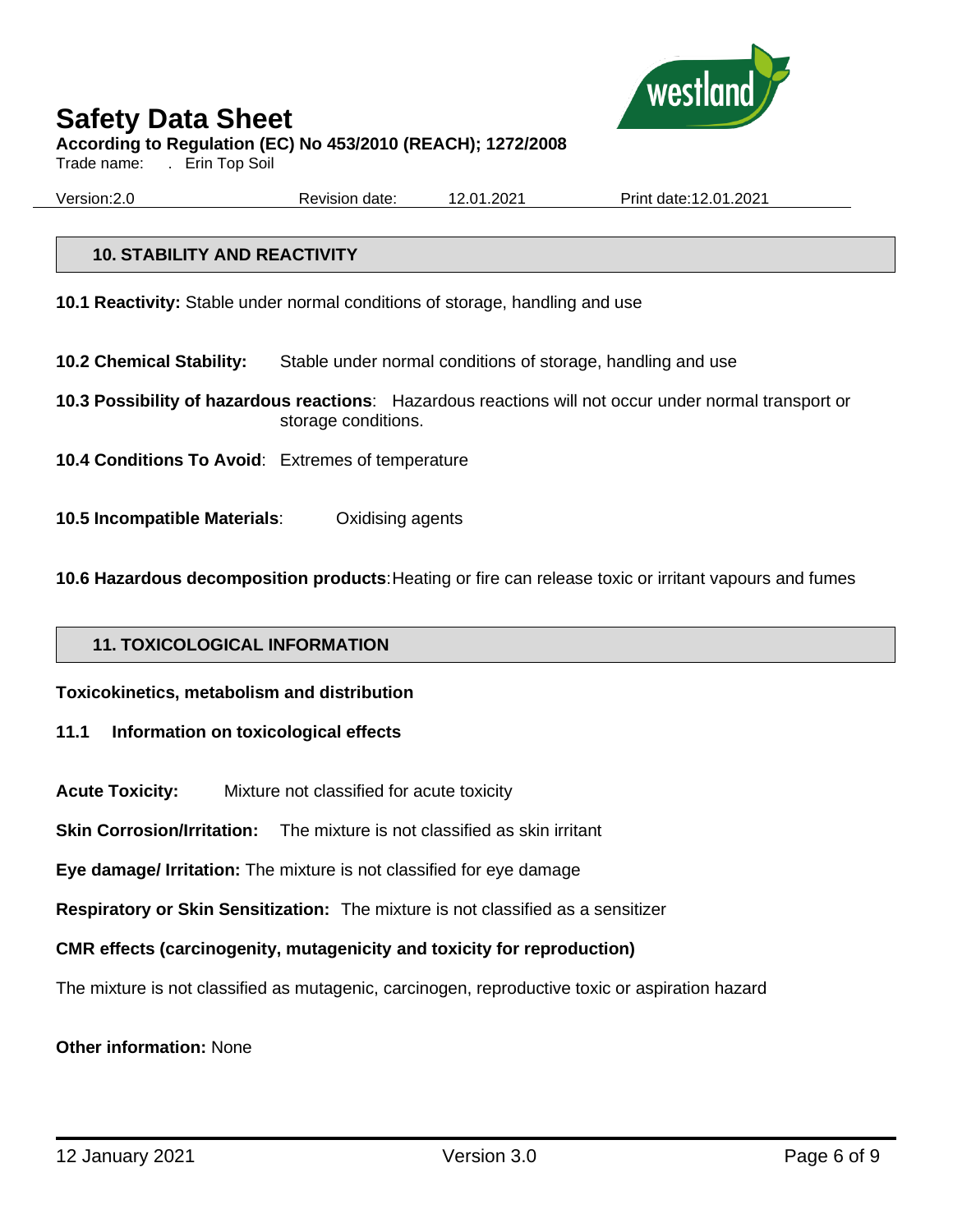

Trade name: . Erin Top Soil

Version:2.0 Revision date: 12.01.2021 Print date:12.01.2021

# **10. STABILITY AND REACTIVITY**

**10.1 Reactivity:** Stable under normal conditions of storage, handling and use

- **10.2 Chemical Stability:** Stable under normal conditions of storage, handling and use
- **10.3 Possibility of hazardous reactions**: Hazardous reactions will not occur under normal transport or storage conditions.
- **10.4 Conditions To Avoid**: Extremes of temperature
- **10.5 Incompatible Materials**: Oxidising agents

**10.6 Hazardous decomposition products**:Heating or fire can release toxic or irritant vapours and fumes

# **11. TOXICOLOGICAL INFORMATION**

**Toxicokinetics, metabolism and distribution**

#### **11.1 Information on toxicological effects**

**Acute Toxicity:** Mixture not classified for acute toxicity

**Skin Corrosion/Irritation:** The mixture is not classified as skin irritant

**Eye damage/ Irritation:** The mixture is not classified for eye damage

**Respiratory or Skin Sensitization:** The mixture is not classified as a sensitizer

#### **CMR effects (carcinogenity, mutagenicity and toxicity for reproduction)**

The mixture is not classified as mutagenic, carcinogen, reproductive toxic or aspiration hazard

#### **Other information:** None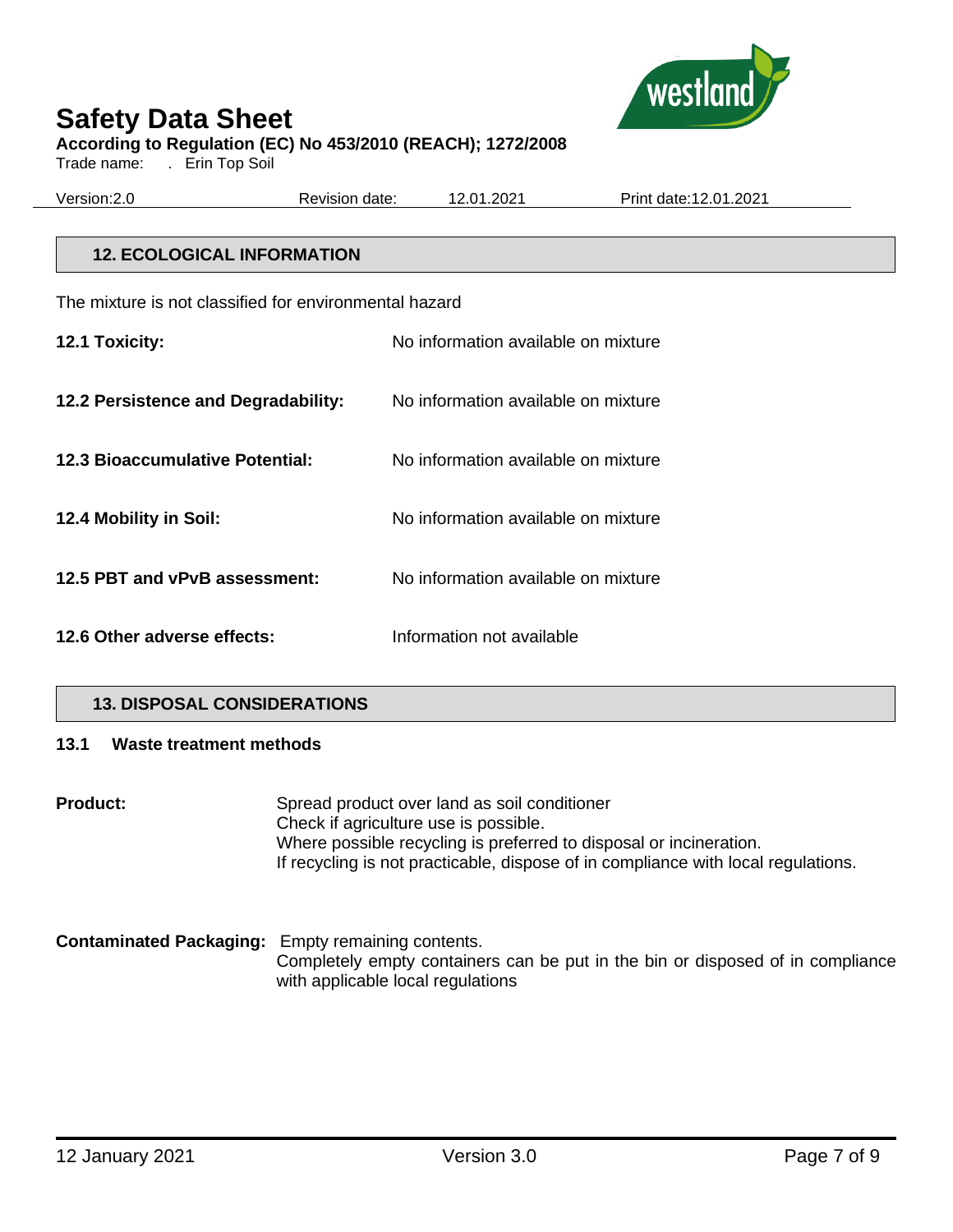

Trade name: . Erin Top Soil

| Version: 2.0 | Revision date: | 12.01.2021 | Print date: 12.01.2021 |
|--------------|----------------|------------|------------------------|
|              |                |            |                        |

# **12. ECOLOGICAL INFORMATION**

The mixture is not classified for environmental hazard

| 12.1 Toxicity:                         | No information available on mixture |
|----------------------------------------|-------------------------------------|
| 12.2 Persistence and Degradability:    | No information available on mixture |
| <b>12.3 Bioaccumulative Potential:</b> | No information available on mixture |
| 12.4 Mobility in Soil:                 | No information available on mixture |
| 12.5 PBT and vPvB assessment:          | No information available on mixture |
| 12.6 Other adverse effects:            | Information not available           |

# **13. DISPOSAL CONSIDERATIONS**

#### **13.1 Waste treatment methods**

**Product:** Spread product over land as soil conditioner Check if agriculture use is possible. Where possible recycling is preferred to disposal or incineration. If recycling is not practicable, dispose of in compliance with local regulations.

**Contaminated Packaging:** Empty remaining contents. Completely empty containers can be put in the bin or disposed of in compliance with applicable local regulations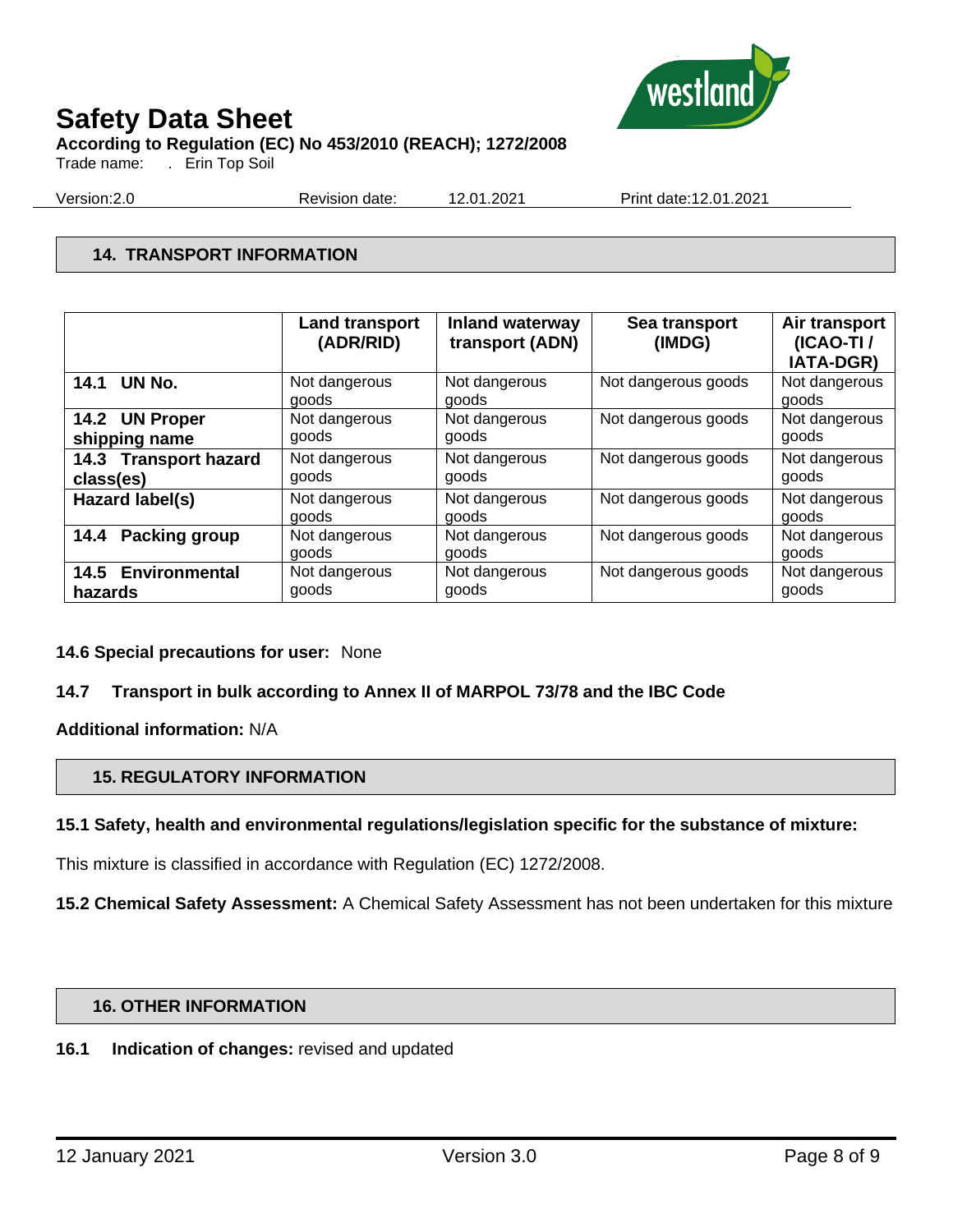

Trade name: . Erin Top Soil

Version:2.0 Revision date: 12.01.2021 Print date:12.01.2021

# **14. TRANSPORT INFORMATION**

|                       | <b>Land transport</b><br>(ADR/RID) | <b>Inland waterway</b><br>transport (ADN) | Sea transport<br>(IMDG) | Air transport<br>(ICAO-TI/<br><b>IATA-DGR)</b> |
|-----------------------|------------------------------------|-------------------------------------------|-------------------------|------------------------------------------------|
| 14.1 UN No.           | Not dangerous<br>goods             | Not dangerous<br>goods                    | Not dangerous goods     | Not dangerous<br>goods                         |
| 14.2 UN Proper        | Not dangerous                      | Not dangerous                             | Not dangerous goods     | Not dangerous                                  |
| shipping name         | goods                              | goods                                     |                         | goods                                          |
| 14.3 Transport hazard | Not dangerous                      | Not dangerous                             | Not dangerous goods     | Not dangerous                                  |
| class(es)             | goods                              | goods                                     |                         | goods                                          |
| Hazard label(s)       | Not dangerous<br>goods             | Not dangerous<br>goods                    | Not dangerous goods     | Not dangerous<br>goods                         |
| <b>Packing group</b>  | Not dangerous                      | Not dangerous                             | Not dangerous goods     | Not dangerous                                  |
| 14.4                  | goods                              | goods                                     |                         | goods                                          |
| 14.5 Environmental    | Not dangerous                      | Not dangerous                             | Not dangerous goods     | Not dangerous                                  |
| hazards               | goods                              | goods                                     |                         | goods                                          |

# **14.6 Special precautions for user:** None

# **14.7 Transport in bulk according to Annex II of MARPOL 73/78 and the IBC Code**

**Additional information:** N/A

# **15. REGULATORY INFORMATION**

# **15.1 Safety, health and environmental regulations/legislation specific for the substance of mixture:**

This mixture is classified in accordance with Regulation (EC) 1272/2008.

**15.2 Chemical Safety Assessment:** A Chemical Safety Assessment has not been undertaken for this mixture

# **16. OTHER INFORMATION**

# **16.1 Indication of changes:** revised and updated